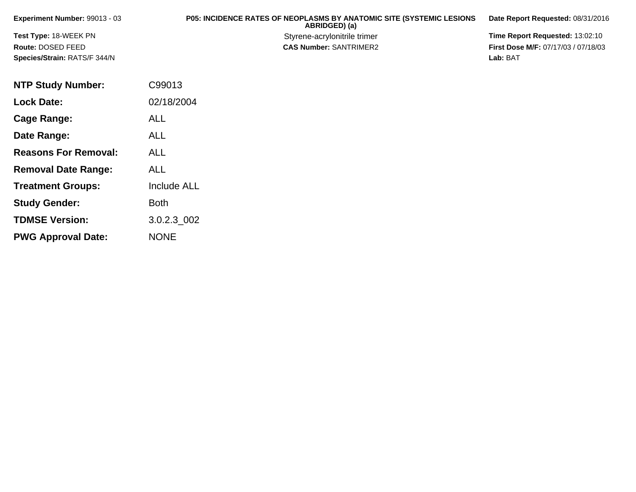| Experiment Number: 99013 - 03 | <b>P05: INCIDENCE RATES OF NEOPLASMS BY ANATOMIC SITE (SYSTEMIC LESIONS)</b><br>ABRIDGED) (a) | Date Report Requested: 08/31/2016          |
|-------------------------------|-----------------------------------------------------------------------------------------------|--------------------------------------------|
| Test Type: 18-WEEK PN         | Styrene-acrylonitrile trimer                                                                  | <b>Time Report Requested: 13:02:10</b>     |
| Route: DOSED FEED             | <b>CAS Number: SANTRIMER2</b>                                                                 | <b>First Dose M/F: 07/17/03 / 07/18/03</b> |
| Species/Strain: RATS/F 344/N  |                                                                                               | Lab: BAT                                   |

| <b>NTP Study Number:</b>    | C99013             |
|-----------------------------|--------------------|
| <b>Lock Date:</b>           | 02/18/2004         |
| Cage Range:                 | <b>ALL</b>         |
| Date Range:                 | ALL                |
| <b>Reasons For Removal:</b> | ALL                |
| <b>Removal Date Range:</b>  | <b>ALL</b>         |
| <b>Treatment Groups:</b>    | <b>Include ALL</b> |
| <b>Study Gender:</b>        | <b>Both</b>        |
| <b>TDMSE Version:</b>       | 3.0.2.3 002        |
| <b>PWG Approval Date:</b>   | <b>NONE</b>        |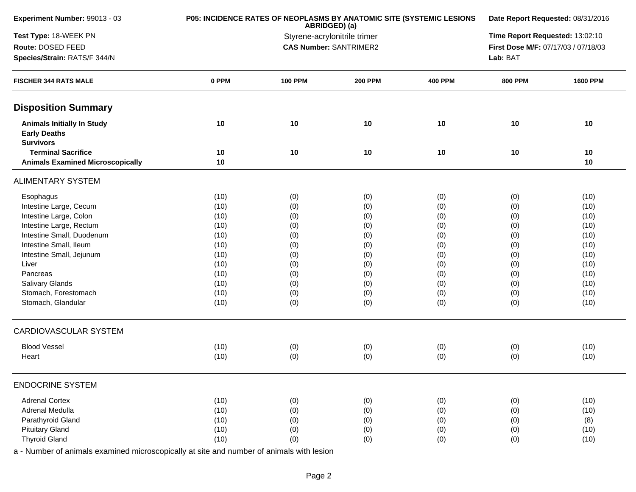| Experiment Number: 99013 - 03                                                | P05: INCIDENCE RATES OF NEOPLASMS BY ANATOMIC SITE (SYSTEMIC LESIONS | Date Report Requested: 08/31/2016                                    |                                 |                |                |                 |
|------------------------------------------------------------------------------|----------------------------------------------------------------------|----------------------------------------------------------------------|---------------------------------|----------------|----------------|-----------------|
| Test Type: 18-WEEK PN                                                        |                                                                      | Styrene-acrylonitrile trimer                                         | Time Report Requested: 13:02:10 |                |                |                 |
| Route: DOSED FEED                                                            |                                                                      | <b>CAS Number: SANTRIMER2</b><br>First Dose M/F: 07/17/03 / 07/18/03 |                                 |                |                |                 |
| Species/Strain: RATS/F 344/N                                                 |                                                                      |                                                                      |                                 |                | Lab: BAT       |                 |
| <b>FISCHER 344 RATS MALE</b>                                                 | 0 PPM                                                                | <b>100 PPM</b>                                                       | <b>200 PPM</b>                  | <b>400 PPM</b> | <b>800 PPM</b> | <b>1600 PPM</b> |
| <b>Disposition Summary</b>                                                   |                                                                      |                                                                      |                                 |                |                |                 |
| <b>Animals Initially In Study</b><br><b>Early Deaths</b><br><b>Survivors</b> | 10                                                                   | 10                                                                   | 10                              | 10             | 10             | 10              |
| <b>Terminal Sacrifice</b><br><b>Animals Examined Microscopically</b>         | 10<br>10                                                             | 10                                                                   | 10                              | 10             | 10             | 10<br>10        |
| <b>ALIMENTARY SYSTEM</b>                                                     |                                                                      |                                                                      |                                 |                |                |                 |
| Esophagus                                                                    | (10)                                                                 | (0)                                                                  | (0)                             | (0)            | (0)            | (10)            |
| Intestine Large, Cecum                                                       | (10)                                                                 | (0)                                                                  | (0)                             | (0)            | (0)            | (10)            |
| Intestine Large, Colon                                                       | (10)                                                                 | (0)                                                                  | (0)                             | (0)            | (0)            | (10)            |
| Intestine Large, Rectum                                                      | (10)                                                                 | (0)                                                                  | (0)                             | (0)            | (0)            | (10)            |
| Intestine Small, Duodenum                                                    | (10)                                                                 | (0)                                                                  | (0)                             | (0)            | (0)            | (10)            |
| Intestine Small, Ileum                                                       | (10)                                                                 | (0)                                                                  | (0)                             | (0)            | (0)            | (10)            |
| Intestine Small, Jejunum                                                     | (10)                                                                 | (0)                                                                  | (0)                             | (0)            | (0)            | (10)            |
| Liver                                                                        | (10)                                                                 | (0)                                                                  | (0)                             | (0)            | (0)            | (10)            |
| Pancreas                                                                     | (10)                                                                 | (0)                                                                  | (0)                             | (0)            | (0)            | (10)            |
| <b>Salivary Glands</b>                                                       | (10)                                                                 | (0)                                                                  | (0)                             | (0)            | (0)            | (10)            |
| Stomach, Forestomach                                                         | (10)                                                                 | (0)                                                                  | (0)                             | (0)            | (0)            | (10)            |
| Stomach, Glandular                                                           | (10)                                                                 | (0)                                                                  | (0)                             | (0)            | (0)            | (10)            |
| CARDIOVASCULAR SYSTEM                                                        |                                                                      |                                                                      |                                 |                |                |                 |
| <b>Blood Vessel</b>                                                          | (10)                                                                 | (0)                                                                  | (0)                             | (0)            | (0)            | (10)            |
| Heart                                                                        | (10)                                                                 | (0)                                                                  | (0)                             | (0)            | (0)            | (10)            |
| <b>ENDOCRINE SYSTEM</b>                                                      |                                                                      |                                                                      |                                 |                |                |                 |
| <b>Adrenal Cortex</b>                                                        | (10)                                                                 | (0)                                                                  | (0)                             | (0)            | (0)            | (10)            |
| Adrenal Medulla                                                              | (10)                                                                 | (0)                                                                  | (0)                             | (0)            | (0)            | (10)            |
| Parathyroid Gland                                                            | (10)                                                                 | (0)                                                                  | (0)                             | (0)            | (0)            | (8)             |
| <b>Pituitary Gland</b>                                                       | (10)                                                                 | (0)                                                                  | (0)                             | (0)            | (0)            | (10)            |
| <b>Thyroid Gland</b>                                                         | (10)                                                                 | (0)                                                                  | (0)                             | (0)            | (0)            | (10)            |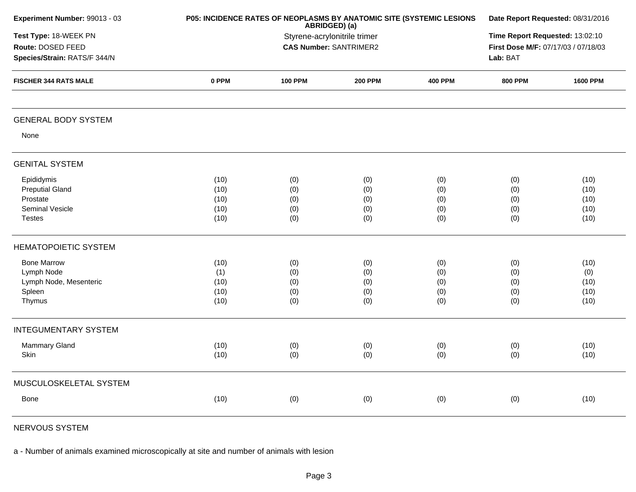| Experiment Number: 99013 - 03                                                        |                                                                                                                                                     | P05: INCIDENCE RATES OF NEOPLASMS BY ANATOMIC SITE (SYSTEMIC LESIONS<br>ABRIDGED) (a) | Date Report Requested: 08/31/2016 |                                 |                                 |                                      |
|--------------------------------------------------------------------------------------|-----------------------------------------------------------------------------------------------------------------------------------------------------|---------------------------------------------------------------------------------------|-----------------------------------|---------------------------------|---------------------------------|--------------------------------------|
| Test Type: 18-WEEK PN<br>Route: DOSED FEED<br>Species/Strain: RATS/F 344/N           | Time Report Requested: 13:02:10<br>Styrene-acrylonitrile trimer<br><b>CAS Number: SANTRIMER2</b><br>First Dose M/F: 07/17/03 / 07/18/03<br>Lab: BAT |                                                                                       |                                   |                                 |                                 |                                      |
| <b>FISCHER 344 RATS MALE</b>                                                         | 0 PPM                                                                                                                                               | <b>100 PPM</b>                                                                        | <b>200 PPM</b>                    | <b>400 PPM</b>                  | <b>800 PPM</b>                  | <b>1600 PPM</b>                      |
| <b>GENERAL BODY SYSTEM</b>                                                           |                                                                                                                                                     |                                                                                       |                                   |                                 |                                 |                                      |
| None                                                                                 |                                                                                                                                                     |                                                                                       |                                   |                                 |                                 |                                      |
| <b>GENITAL SYSTEM</b>                                                                |                                                                                                                                                     |                                                                                       |                                   |                                 |                                 |                                      |
| Epididymis<br><b>Preputial Gland</b><br>Prostate<br>Seminal Vesicle<br><b>Testes</b> | (10)<br>(10)<br>(10)<br>(10)<br>(10)                                                                                                                | (0)<br>(0)<br>(0)<br>(0)<br>(0)                                                       | (0)<br>(0)<br>(0)<br>(0)<br>(0)   | (0)<br>(0)<br>(0)<br>(0)<br>(0) | (0)<br>(0)<br>(0)<br>(0)<br>(0) | (10)<br>(10)<br>(10)<br>(10)<br>(10) |
| <b>HEMATOPOIETIC SYSTEM</b>                                                          |                                                                                                                                                     |                                                                                       |                                   |                                 |                                 |                                      |
| <b>Bone Marrow</b><br>Lymph Node<br>Lymph Node, Mesenteric<br>Spleen<br>Thymus       | (10)<br>(1)<br>(10)<br>(10)<br>(10)                                                                                                                 | (0)<br>(0)<br>(0)<br>(0)<br>(0)                                                       | (0)<br>(0)<br>(0)<br>(0)<br>(0)   | (0)<br>(0)<br>(0)<br>(0)<br>(0) | (0)<br>(0)<br>(0)<br>(0)<br>(0) | (10)<br>(0)<br>(10)<br>(10)<br>(10)  |
| <b>INTEGUMENTARY SYSTEM</b>                                                          |                                                                                                                                                     |                                                                                       |                                   |                                 |                                 |                                      |
| Mammary Gland<br>Skin                                                                | (10)<br>(10)                                                                                                                                        | (0)<br>(0)                                                                            | (0)<br>(0)                        | (0)<br>(0)                      | (0)<br>(0)                      | (10)<br>(10)                         |
| MUSCULOSKELETAL SYSTEM                                                               |                                                                                                                                                     |                                                                                       |                                   |                                 |                                 |                                      |
| <b>Bone</b>                                                                          | (10)                                                                                                                                                | (0)                                                                                   | (0)                               | (0)                             | (0)                             | (10)                                 |
|                                                                                      |                                                                                                                                                     |                                                                                       |                                   |                                 |                                 |                                      |

NERVOUS SYSTEM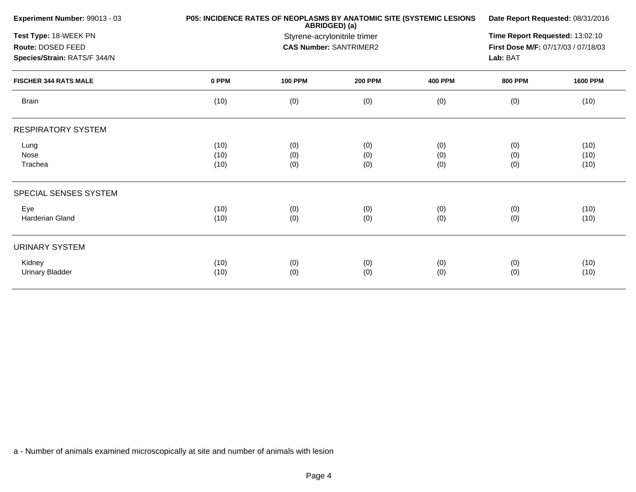| Experiment Number: 99013 - 03 |       | P05: INCIDENCE RATES OF NEOPLASMS BY ANATOMIC SITE (SYSTEMIC LESIONS<br>ABRIDGED) (a) |                               |                |                                     |                 |  |
|-------------------------------|-------|---------------------------------------------------------------------------------------|-------------------------------|----------------|-------------------------------------|-----------------|--|
| Test Type: 18-WEEK PN         |       | Styrene-acrylonitrile trimer                                                          |                               |                |                                     |                 |  |
| Route: DOSED FEED             |       |                                                                                       | <b>CAS Number: SANTRIMER2</b> |                | First Dose M/F: 07/17/03 / 07/18/03 |                 |  |
| Species/Strain: RATS/F 344/N  |       |                                                                                       |                               |                | Lab: BAT                            |                 |  |
| <b>FISCHER 344 RATS MALE</b>  | 0 PPM | <b>100 PPM</b>                                                                        | <b>200 PPM</b>                | <b>400 PPM</b> | <b>800 PPM</b>                      | <b>1600 PPM</b> |  |
| <b>Brain</b>                  | (10)  | (0)                                                                                   | (0)                           | (0)            | (0)                                 | (10)            |  |
| <b>RESPIRATORY SYSTEM</b>     |       |                                                                                       |                               |                |                                     |                 |  |
| Lung                          | (10)  | (0)                                                                                   | (0)                           | (0)            | (0)                                 | (10)            |  |
| Nose                          | (10)  | (0)                                                                                   | (0)                           | (0)            | (0)                                 | (10)            |  |
| Trachea                       | (10)  | (0)                                                                                   | (0)                           | (0)            | (0)                                 | (10)            |  |
| SPECIAL SENSES SYSTEM         |       |                                                                                       |                               |                |                                     |                 |  |
| Eye                           | (10)  | (0)                                                                                   | (0)                           | (0)            | (0)                                 | (10)            |  |
| Harderian Gland               | (10)  | (0)                                                                                   | (0)                           | (0)            | (0)                                 | (10)            |  |
| <b>URINARY SYSTEM</b>         |       |                                                                                       |                               |                |                                     |                 |  |
| Kidney                        | (10)  | (0)                                                                                   | (0)                           | (0)            | (0)                                 | (10)            |  |
| <b>Urinary Bladder</b>        | (10)  | (0)                                                                                   | (0)                           | (0)            | (0)                                 | (10)            |  |
|                               |       |                                                                                       |                               |                |                                     |                 |  |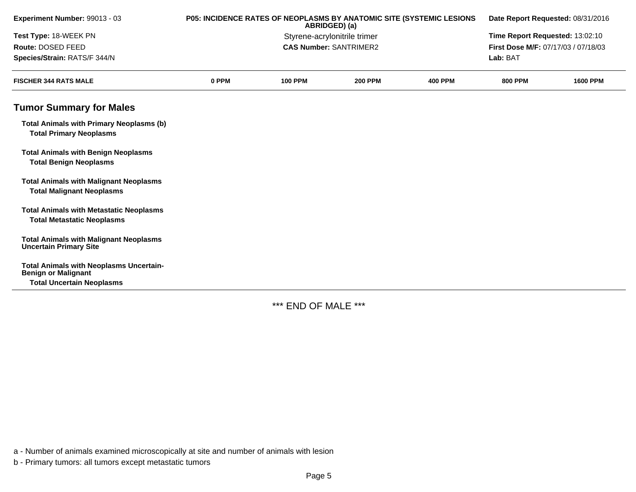| Experiment Number: 99013 - 03                                                       | P05: INCIDENCE RATES OF NEOPLASMS BY ANATOMIC SITE (SYSTEMIC LESIONS<br>ABRIDGED) (a) |                              |                                 | Date Report Requested: 08/31/2016 |                                     |                 |
|-------------------------------------------------------------------------------------|---------------------------------------------------------------------------------------|------------------------------|---------------------------------|-----------------------------------|-------------------------------------|-----------------|
| Test Type: 18-WEEK PN                                                               |                                                                                       | Styrene-acrylonitrile trimer | Time Report Requested: 13:02:10 |                                   |                                     |                 |
| Route: DOSED FEED                                                                   |                                                                                       |                              | <b>CAS Number: SANTRIMER2</b>   |                                   | First Dose M/F: 07/17/03 / 07/18/03 |                 |
| Species/Strain: RATS/F 344/N                                                        |                                                                                       |                              |                                 |                                   | Lab: BAT                            |                 |
| <b>FISCHER 344 RATS MALE</b>                                                        | 0 PPM                                                                                 | <b>100 PPM</b>               | <b>200 PPM</b>                  | <b>400 PPM</b>                    | <b>800 PPM</b>                      | <b>1600 PPM</b> |
| <b>Tumor Summary for Males</b>                                                      |                                                                                       |                              |                                 |                                   |                                     |                 |
| <b>Total Animals with Primary Neoplasms (b)</b><br><b>Total Primary Neoplasms</b>   |                                                                                       |                              |                                 |                                   |                                     |                 |
| <b>Total Animals with Benign Neoplasms</b><br><b>Total Benign Neoplasms</b>         |                                                                                       |                              |                                 |                                   |                                     |                 |
| <b>Total Animals with Malignant Neoplasms</b><br><b>Total Malignant Neoplasms</b>   |                                                                                       |                              |                                 |                                   |                                     |                 |
| <b>Total Animals with Metastatic Neoplasms</b><br><b>Total Metastatic Neoplasms</b> |                                                                                       |                              |                                 |                                   |                                     |                 |
| <b>Total Animals with Malignant Neoplasms</b><br><b>Uncertain Primary Site</b>      |                                                                                       |                              |                                 |                                   |                                     |                 |
| <b>Total Animals with Neoplasms Uncertain-</b><br><b>Benign or Malignant</b>        |                                                                                       |                              |                                 |                                   |                                     |                 |
| <b>Total Uncertain Neoplasms</b>                                                    |                                                                                       |                              |                                 |                                   |                                     |                 |

\*\*\* END OF MALE \*\*\*

a - Number of animals examined microscopically at site and number of animals with lesion

b - Primary tumors: all tumors except metastatic tumors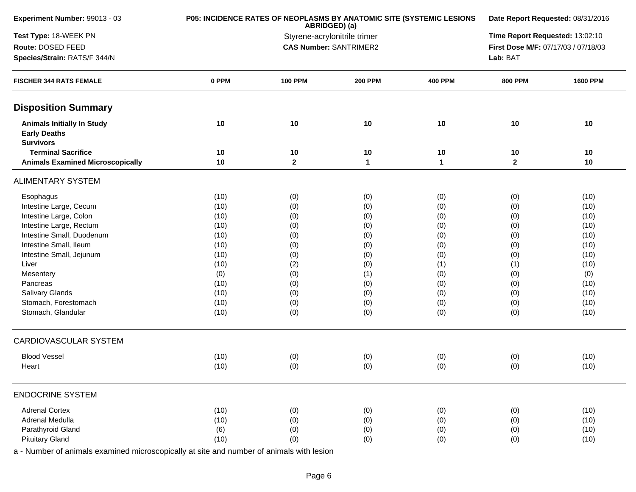| Experiment Number: 99013 - 03                                                | P05: INCIDENCE RATES OF NEOPLASMS BY ANATOMIC SITE (SYSTEMIC LESIONS | Date Report Requested: 08/31/2016 |                                 |                |                                     |                 |
|------------------------------------------------------------------------------|----------------------------------------------------------------------|-----------------------------------|---------------------------------|----------------|-------------------------------------|-----------------|
| Test Type: 18-WEEK PN                                                        |                                                                      | Styrene-acrylonitrile trimer      | Time Report Requested: 13:02:10 |                |                                     |                 |
| Route: DOSED FEED                                                            |                                                                      |                                   | <b>CAS Number: SANTRIMER2</b>   |                | First Dose M/F: 07/17/03 / 07/18/03 |                 |
| Species/Strain: RATS/F 344/N                                                 |                                                                      |                                   |                                 |                | Lab: BAT                            |                 |
| <b>FISCHER 344 RATS FEMALE</b>                                               | 0 PPM                                                                | <b>100 PPM</b>                    | <b>200 PPM</b>                  | <b>400 PPM</b> | <b>800 PPM</b>                      | <b>1600 PPM</b> |
| <b>Disposition Summary</b>                                                   |                                                                      |                                   |                                 |                |                                     |                 |
| <b>Animals Initially In Study</b><br><b>Early Deaths</b><br><b>Survivors</b> | 10                                                                   | 10                                | 10                              | 10             | $10$                                | 10              |
| <b>Terminal Sacrifice</b>                                                    | 10                                                                   | 10                                | 10                              | $10$           | 10                                  | 10              |
| <b>Animals Examined Microscopically</b>                                      | 10                                                                   | $\mathbf{2}$                      | $\mathbf{1}$                    | $\mathbf{1}$   | $\mathbf{2}$                        | 10              |
| <b>ALIMENTARY SYSTEM</b>                                                     |                                                                      |                                   |                                 |                |                                     |                 |
| Esophagus                                                                    | (10)                                                                 | (0)                               | (0)                             | (0)            | (0)                                 | (10)            |
| Intestine Large, Cecum                                                       | (10)                                                                 | (0)                               | (0)                             | (0)            | (0)                                 | (10)            |
| Intestine Large, Colon                                                       | (10)                                                                 | (0)                               | (0)                             | (0)            | (0)                                 | (10)            |
| Intestine Large, Rectum                                                      | (10)                                                                 | (0)                               | (0)                             | (0)            | (0)                                 | (10)            |
| Intestine Small, Duodenum                                                    | (10)                                                                 | (0)                               | (0)                             | (0)            | (0)                                 | (10)            |
| Intestine Small, Ileum                                                       | (10)                                                                 | (0)                               | (0)                             | (0)            | (0)                                 | (10)            |
| Intestine Small, Jejunum                                                     | (10)                                                                 | (0)                               | (0)                             | (0)            | (0)                                 | (10)            |
| Liver                                                                        | (10)                                                                 | (2)                               | (0)                             | (1)            | (1)                                 | (10)            |
| Mesentery                                                                    | (0)                                                                  | (0)                               | (1)                             | (0)            | (0)                                 | (0)             |
| Pancreas                                                                     | (10)                                                                 | (0)                               | (0)                             | (0)            | (0)                                 | (10)            |
| <b>Salivary Glands</b>                                                       | (10)                                                                 | (0)                               | (0)                             | (0)            | (0)                                 | (10)            |
| Stomach, Forestomach                                                         | (10)                                                                 | (0)                               | (0)                             | (0)            | (0)                                 | (10)            |
| Stomach, Glandular                                                           | (10)                                                                 | (0)                               | (0)                             | (0)            | (0)                                 | (10)            |
| <b>CARDIOVASCULAR SYSTEM</b>                                                 |                                                                      |                                   |                                 |                |                                     |                 |
| <b>Blood Vessel</b>                                                          | (10)                                                                 | (0)                               | (0)                             | (0)            | (0)                                 | (10)            |
| Heart                                                                        | (10)                                                                 | (0)                               | (0)                             | (0)            | (0)                                 | (10)            |
| <b>ENDOCRINE SYSTEM</b>                                                      |                                                                      |                                   |                                 |                |                                     |                 |
| <b>Adrenal Cortex</b>                                                        | (10)                                                                 | (0)                               | (0)                             | (0)            | (0)                                 | (10)            |
| Adrenal Medulla                                                              | (10)                                                                 | (0)                               | (0)                             | (0)            | (0)                                 | (10)            |
| Parathyroid Gland                                                            | (6)                                                                  | (0)                               | (0)                             | (0)            | (0)                                 | (10)            |
| <b>Pituitary Gland</b>                                                       | (10)                                                                 | (0)                               | (0)                             | (0)            | (0)                                 | (10)            |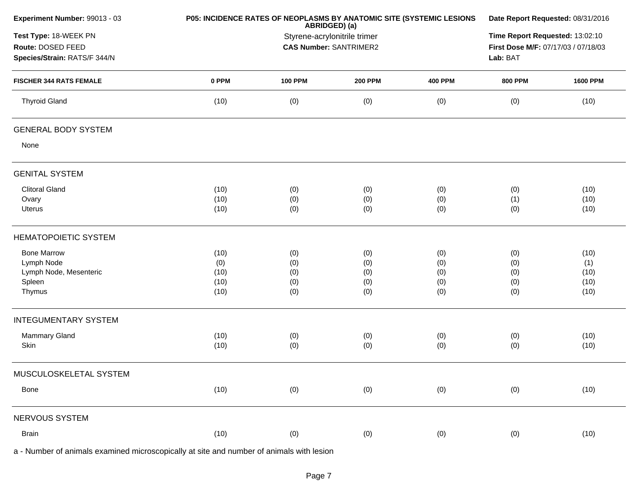| Experiment Number: 99013 - 03                                              | P05: INCIDENCE RATES OF NEOPLASMS BY ANATOMIC SITE (SYSTEMIC LESIONS | Date Report Requested: 08/31/2016                                              |                |                |                |                 |
|----------------------------------------------------------------------------|----------------------------------------------------------------------|--------------------------------------------------------------------------------|----------------|----------------|----------------|-----------------|
| Test Type: 18-WEEK PN<br>Route: DOSED FEED<br>Species/Strain: RATS/F 344/N |                                                                      | ABRIDGED) (a)<br>Styrene-acrylonitrile trimer<br><b>CAS Number: SANTRIMER2</b> |                |                |                |                 |
| <b>FISCHER 344 RATS FEMALE</b>                                             | 0 PPM                                                                | <b>100 PPM</b>                                                                 | <b>200 PPM</b> | <b>400 PPM</b> | <b>800 PPM</b> | <b>1600 PPM</b> |
| <b>Thyroid Gland</b>                                                       | (10)                                                                 | (0)                                                                            | (0)            | (0)            | (0)            | (10)            |
| <b>GENERAL BODY SYSTEM</b>                                                 |                                                                      |                                                                                |                |                |                |                 |
| None                                                                       |                                                                      |                                                                                |                |                |                |                 |
| <b>GENITAL SYSTEM</b>                                                      |                                                                      |                                                                                |                |                |                |                 |
| <b>Clitoral Gland</b>                                                      | (10)                                                                 | (0)                                                                            | (0)            | (0)            | (0)            | (10)            |
| Ovary                                                                      | (10)                                                                 | (0)                                                                            | (0)            | (0)            | (1)            | (10)            |
| Uterus                                                                     | (10)                                                                 | (0)                                                                            | (0)            | (0)            | (0)            | (10)            |
| <b>HEMATOPOIETIC SYSTEM</b>                                                |                                                                      |                                                                                |                |                |                |                 |
| <b>Bone Marrow</b>                                                         | (10)                                                                 | (0)                                                                            | (0)            | (0)            | (0)            | (10)            |
| Lymph Node                                                                 | (0)                                                                  | (0)                                                                            | (0)            | (0)            | (0)            | (1)             |
| Lymph Node, Mesenteric                                                     | (10)                                                                 | (0)                                                                            | (0)            | (0)            | (0)            | (10)            |
| Spleen<br>Thymus                                                           | (10)<br>(10)                                                         | (0)<br>(0)                                                                     | (0)<br>(0)     | (0)<br>(0)     | (0)<br>(0)     | (10)<br>(10)    |
|                                                                            |                                                                      |                                                                                |                |                |                |                 |
| <b>INTEGUMENTARY SYSTEM</b>                                                |                                                                      |                                                                                |                |                |                |                 |
| Mammary Gland                                                              | (10)                                                                 | (0)                                                                            | (0)            | (0)            | (0)            | (10)            |
| Skin                                                                       | (10)                                                                 | (0)                                                                            | (0)            | (0)            | (0)            | (10)            |
| MUSCULOSKELETAL SYSTEM                                                     |                                                                      |                                                                                |                |                |                |                 |
| Bone                                                                       | (10)                                                                 | (0)                                                                            | (0)            | (0)            | (0)            | (10)            |
| NERVOUS SYSTEM                                                             |                                                                      |                                                                                |                |                |                |                 |
| Brain                                                                      | (10)                                                                 | (0)                                                                            | (0)            | (0)            | (0)            | (10)            |
|                                                                            |                                                                      |                                                                                |                |                |                |                 |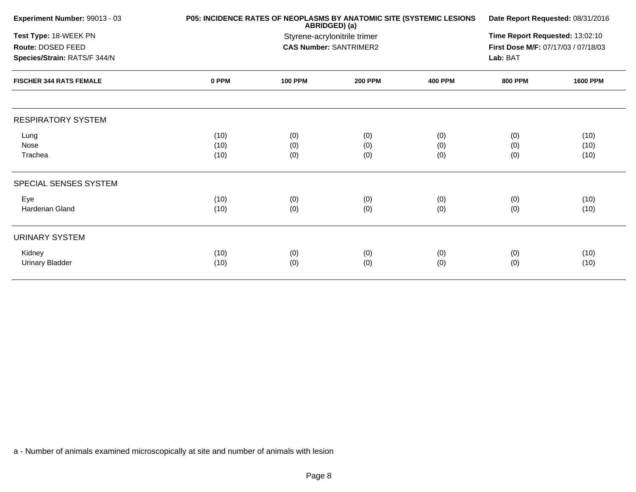| Experiment Number: 99013 - 03  |       | ABRIDGED) (a)                | P05: INCIDENCE RATES OF NEOPLASMS BY ANATOMIC SITE (SYSTEMIC LESIONS | Date Report Requested: 08/31/2016 |                                     |                 |
|--------------------------------|-------|------------------------------|----------------------------------------------------------------------|-----------------------------------|-------------------------------------|-----------------|
| Test Type: 18-WEEK PN          |       | Styrene-acrylonitrile trimer |                                                                      |                                   |                                     |                 |
| Route: DOSED FEED              |       |                              | <b>CAS Number: SANTRIMER2</b>                                        |                                   | First Dose M/F: 07/17/03 / 07/18/03 |                 |
| Species/Strain: RATS/F 344/N   |       |                              |                                                                      |                                   | Lab: BAT                            |                 |
| <b>FISCHER 344 RATS FEMALE</b> | 0 PPM | <b>100 PPM</b>               | <b>200 PPM</b>                                                       | <b>400 PPM</b>                    | <b>800 PPM</b>                      | <b>1600 PPM</b> |
| <b>RESPIRATORY SYSTEM</b>      |       |                              |                                                                      |                                   |                                     |                 |
| Lung                           | (10)  | (0)                          | (0)                                                                  | (0)                               | (0)                                 | (10)            |
| Nose                           | (10)  | (0)                          | (0)                                                                  | (0)                               | (0)                                 | (10)            |
| Trachea                        | (10)  | (0)                          | (0)                                                                  | (0)                               | (0)                                 | (10)            |
| SPECIAL SENSES SYSTEM          |       |                              |                                                                      |                                   |                                     |                 |
| Eye                            | (10)  | (0)                          | (0)                                                                  | (0)                               | (0)                                 | (10)            |
| <b>Harderian Gland</b>         | (10)  | (0)                          | (0)                                                                  | (0)                               | (0)                                 | (10)            |
| <b>URINARY SYSTEM</b>          |       |                              |                                                                      |                                   |                                     |                 |
| Kidney                         | (10)  | (0)                          | (0)                                                                  | (0)                               | (0)                                 | (10)            |
| <b>Urinary Bladder</b>         | (10)  | (0)                          | (0)                                                                  | (0)                               | (0)                                 | (10)            |
|                                |       |                              |                                                                      |                                   |                                     |                 |